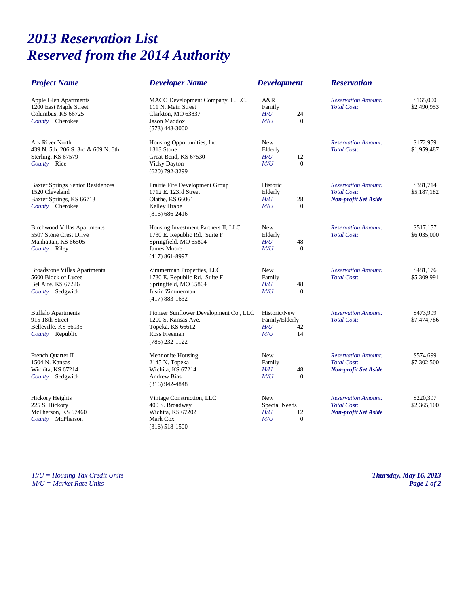## *2013 Reservation List Reserved from the 2014 Authority*

| <b>Project Name</b>                                                                                      | <b>Developer Name</b>                                                                                                              | <b>Development</b>                                                      | <b>Reservation</b>                                                              |                          |
|----------------------------------------------------------------------------------------------------------|------------------------------------------------------------------------------------------------------------------------------------|-------------------------------------------------------------------------|---------------------------------------------------------------------------------|--------------------------|
| Apple Glen Apartments<br>1200 East Maple Street<br>Columbus, KS 66725<br>County Cherokee                 | MACO Development Company, L.L.C.<br>111 N. Main Street<br>Clarkton, MO 63837<br>Jason Maddox<br>$(573)$ 448-3000                   | A&R<br>Family<br>H/U<br>24<br>M/U<br>$\Omega$                           | <b>Reservation Amount:</b><br><b>Total Cost:</b>                                | \$165,000<br>\$2,490,953 |
| <b>Ark River North</b><br>439 N. 5th, 206 S. 3rd & 609 N. 6th<br>Sterling, KS 67579<br>County Rice       | Housing Opportunities, Inc.<br>1313 Stone<br>Great Bend, KS 67530<br><b>Vicky Dayton</b><br>$(620)$ 792-3299                       | New<br>Elderly<br>$H\!/\!U$<br>12<br>M/U<br>$\theta$                    | <b>Reservation Amount:</b><br><b>Total Cost:</b>                                | \$172,959<br>\$1,959,487 |
| <b>Baxter Springs Senior Residences</b><br>1520 Cleveland<br>Baxter Springs, KS 66713<br>County Cherokee | Prairie Fire Development Group<br>1712 E. 123rd Street<br>Olathe, KS 66061<br>Kelley Hrabe<br>$(816) 686 - 2416$                   | Historic<br>Elderly<br>$H\!/\!U$<br>28<br>M/U<br>$\Omega$               | <b>Reservation Amount:</b><br><b>Total Cost:</b><br><b>Non-profit Set Aside</b> | \$381,714<br>\$5,187,182 |
| <b>Birchwood Villas Apartments</b><br>5507 Stone Crest Drive<br>Manhattan, KS 66505<br>County Riley      | Housing Investment Partners II, LLC<br>1730 E. Republic Rd., Suite F<br>Springfield, MO 65804<br>James Moore<br>$(417) 861 - 8997$ | <b>New</b><br>Elderly<br>H/U<br>48<br>M/U<br>$\overline{0}$             | <b>Reservation Amount:</b><br><b>Total Cost:</b>                                | \$517,157<br>\$6,035,000 |
| <b>Broadstone Villas Apartments</b><br>5600 Block of Lycee<br>Bel Aire, KS 67226<br>County Sedgwick      | Zimmerman Properties, LLC<br>1730 E. Republic Rd., Suite F<br>Springfield, MO 65804<br>Justin Zimmerman<br>$(417) 883 - 1632$      | <b>New</b><br>Family<br>H/U<br>48<br>M/U<br>$\theta$                    | <b>Reservation Amount:</b><br><b>Total Cost:</b>                                | \$481,176<br>\$5,309,991 |
| <b>Buffalo Apartments</b><br>915 18th Street<br>Belleville, KS 66935<br>County Republic                  | Pioneer Sunflower Development Co., LLC<br>1200 S. Kansas Ave.<br>Topeka, KS 66612<br>Ross Freeman<br>$(785)$ 232-1122              | Historic/New<br>Family/Elderly<br>$H\!U$<br>42<br>M/U<br>14             | <b>Reservation Amount:</b><br><b>Total Cost:</b>                                | \$473,999<br>\$7,474,786 |
| French Quarter II<br>1504 N. Kansas<br>Wichita, KS 67214<br>County Sedgwick                              | Mennonite Housing<br>2145 N. Topeka<br>Wichita, KS 67214<br><b>Andrew Bias</b><br>$(316)$ 942-4848                                 | <b>New</b><br>Family<br>$H\!/\!U$<br>48<br>$\overline{0}$<br>M/U        | <b>Reservation Amount:</b><br><b>Total Cost:</b><br><b>Non-profit Set Aside</b> | \$574,699<br>\$7,302,500 |
| <b>Hickory Heights</b><br>225 S. Hickory<br>McPherson, KS 67460<br>County McPherson                      | Vintage Construction, LLC<br>400 S. Broadway<br>Wichita, KS 67202<br>Mark Cox<br>$(316)$ 518-1500                                  | <b>New</b><br>Special Needs<br>$H\!/\!U$<br>12<br>$\overline{0}$<br>M/U | <b>Reservation Amount:</b><br><b>Total Cost:</b><br>Non-profit Set Aside        | \$220,397<br>\$2,365,100 |

*H/U = Housing Tax Credit Units Thursday, May 16, 2013 M/U = Market Rate Units Page 1 of 2*